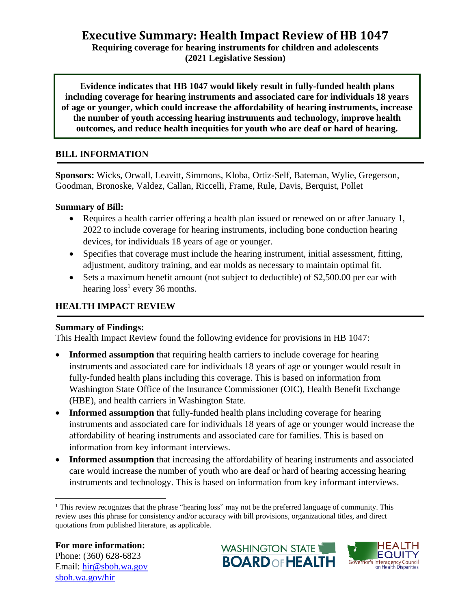# **Executive Summary: Health Impact Review of HB 1047 Requiring coverage for hearing instruments for children and adolescents**

**(2021 Legislative Session)**

**Evidence indicates that HB 1047 would likely result in fully-funded health plans including coverage for hearing instruments and associated care for individuals 18 years of age or younger, which could increase the affordability of hearing instruments, increase the number of youth accessing hearing instruments and technology, improve health outcomes, and reduce health inequities for youth who are deaf or hard of hearing.**

### **BILL INFORMATION**

**Sponsors:** Wicks, Orwall, Leavitt, Simmons, Kloba, Ortiz-Self, Bateman, Wylie, Gregerson, Goodman, Bronoske, Valdez, Callan, Riccelli, Frame, Rule, Davis, Berquist, Pollet

#### **Summary of Bill:**

- Requires a health carrier offering a health plan issued or renewed on or after January 1, 2022 to include coverage for hearing instruments, including bone conduction hearing devices, for individuals 18 years of age or younger.
- Specifies that coverage must include the hearing instrument, initial assessment, fitting, adjustment, auditory training, and ear molds as necessary to maintain optimal fit.
- Sets a maximum benefit amount (not subject to deductible) of \$2,500.00 per ear with hearing  $loss<sup>1</sup>$  every 36 months.

### **HEALTH IMPACT REVIEW**

#### **Summary of Findings:**

This Health Impact Review found the following evidence for provisions in HB 1047:

- **Informed assumption** that requiring health carriers to include coverage for hearing instruments and associated care for individuals 18 years of age or younger would result in fully-funded health plans including this coverage. This is based on information from Washington State Office of the Insurance Commissioner (OIC), Health Benefit Exchange (HBE), and health carriers in Washington State.
- **Informed assumption** that fully-funded health plans including coverage for hearing instruments and associated care for individuals 18 years of age or younger would increase the affordability of hearing instruments and associated care for families. This is based on information from key informant interviews.
- **Informed assumption** that increasing the affordability of hearing instruments and associated care would increase the number of youth who are deaf or hard of hearing accessing hearing instruments and technology. This is based on information from key informant interviews.



<sup>&</sup>lt;sup>1</sup> This review recognizes that the phrase "hearing loss" may not be the preferred language of community. This review uses this phrase for consistency and/or accuracy with bill provisions, organizational titles, and direct quotations from published literature, as applicable.